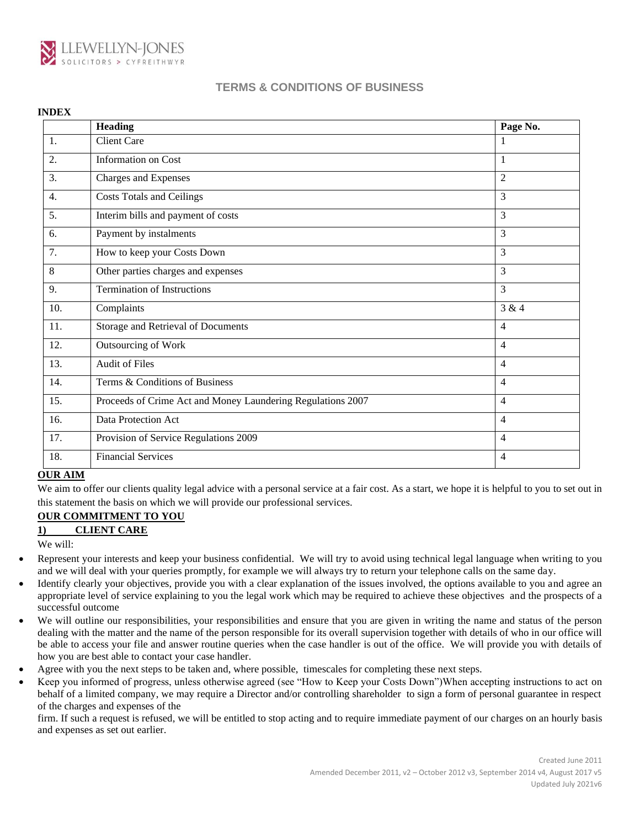

|     | <b>Heading</b>                                              | Page No.       |
|-----|-------------------------------------------------------------|----------------|
| 1.  | <b>Client Care</b>                                          | 1              |
| 2.  | Information on Cost                                         | $\mathbf{1}$   |
| 3.  | Charges and Expenses                                        | $\overline{2}$ |
| 4.  | <b>Costs Totals and Ceilings</b>                            | 3              |
| 5.  | Interim bills and payment of costs                          | 3              |
| 6.  | Payment by instalments                                      | 3              |
| 7.  | How to keep your Costs Down                                 | 3              |
| 8   | Other parties charges and expenses                          | 3              |
| 9.  | <b>Termination of Instructions</b>                          | $\overline{3}$ |
| 10. | Complaints                                                  | 3 & 4          |
| 11. | Storage and Retrieval of Documents                          | $\overline{4}$ |
| 12. | Outsourcing of Work                                         | $\overline{4}$ |
| 13. | <b>Audit of Files</b>                                       | $\overline{4}$ |
| 14. | Terms & Conditions of Business                              | $\overline{4}$ |
| 15. | Proceeds of Crime Act and Money Laundering Regulations 2007 | $\overline{4}$ |
| 16. | Data Protection Act                                         | $\overline{4}$ |
| 17. | Provision of Service Regulations 2009                       | $\overline{4}$ |
| 18. | <b>Financial Services</b>                                   | $\overline{4}$ |

### **OUR AIM**

We aim to offer our clients quality legal advice with a personal service at a fair cost. As a start, we hope it is helpful to you to set out in this statement the basis on which we will provide our professional services.

### **OUR COMMITMENT TO YOU**

### **1) CLIENT CARE**

We will:

- Represent your interests and keep your business confidential. We will try to avoid using technical legal language when writing to you and we will deal with your queries promptly, for example we will always try to return your telephone calls on the same day.
- Identify clearly your objectives, provide you with a clear explanation of the issues involved, the options available to you and agree an appropriate level of service explaining to you the legal work which may be required to achieve these objectives and the prospects of a successful outcome
- We will outline our responsibilities, your responsibilities and ensure that you are given in writing the name and status of the person dealing with the matter and the name of the person responsible for its overall supervision together with details of who in our office will be able to access your file and answer routine queries when the case handler is out of the office. We will provide you with details of how you are best able to contact your case handler*.*
- Agree with you the next steps to be taken and, where possible, timescales for completing these next steps.
- Keep you informed of progress, unless otherwise agreed (see "How to Keep your Costs Down")When accepting instructions to act on behalf of a limited company, we may require a Director and/or controlling shareholder to sign a form of personal guarantee in respect of the charges and expenses of the

firm. If such a request is refused, we will be entitled to stop acting and to require immediate payment of our charges on an hourly basis and expenses as set out earlier.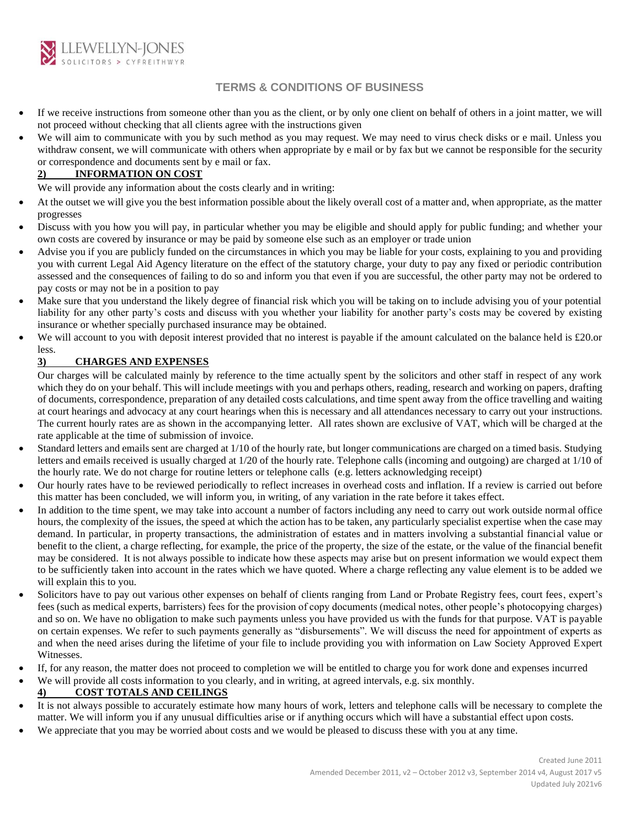

- If we receive instructions from someone other than you as the client, or by only one client on behalf of others in a joint matter, we will not proceed without checking that all clients agree with the instructions given
- We will aim to communicate with you by such method as you may request. We may need to virus check disks or e mail. Unless you withdraw consent, we will communicate with others when appropriate by e mail or by fax but we cannot be responsible for the security or correspondence and documents sent by e mail or fax.

### **2) INFORMATION ON COST**

We will provide any information about the costs clearly and in writing:

- At the outset we will give you the best information possible about the likely overall cost of a matter and, when appropriate, as the matter progresses
- Discuss with you how you will pay, in particular whether you may be eligible and should apply for public funding; and whether your own costs are covered by insurance or may be paid by someone else such as an employer or trade union
- Advise you if you are publicly funded on the circumstances in which you may be liable for your costs, explaining to you and providing you with current Legal Aid Agency literature on the effect of the statutory charge, your duty to pay any fixed or periodic contribution assessed and the consequences of failing to do so and inform you that even if you are successful, the other party may not be ordered to pay costs or may not be in a position to pay
- Make sure that you understand the likely degree of financial risk which you will be taking on to include advising you of your potential liability for any other party's costs and discuss with you whether your liability for another party's costs may be covered by existing insurance or whether specially purchased insurance may be obtained.
- We will account to you with deposit interest provided that no interest is payable if the amount calculated on the balance held is  $\text{\pounds}20$ .or less.

## **3) CHARGES AND EXPENSES**

Our charges will be calculated mainly by reference to the time actually spent by the solicitors and other staff in respect of any work which they do on your behalf. This will include meetings with you and perhaps others, reading, research and working on papers, drafting of documents, correspondence, preparation of any detailed costs calculations, and time spent away from the office travelling and waiting at court hearings and advocacy at any court hearings when this is necessary and all attendances necessary to carry out your instructions. The current hourly rates are as shown in the accompanying letter. All rates shown are exclusive of VAT, which will be charged at the rate applicable at the time of submission of invoice.

- Standard letters and emails sent are charged at 1/10 of the hourly rate, but longer communications are charged on a timed basis. Studying letters and emails received is usually charged at 1/20 of the hourly rate. Telephone calls (incoming and outgoing) are charged at 1/10 of the hourly rate. We do not charge for routine letters or telephone calls (e.g. letters acknowledging receipt)
- Our hourly rates have to be reviewed periodically to reflect increases in overhead costs and inflation. If a review is carried out before this matter has been concluded, we will inform you, in writing, of any variation in the rate before it takes effect.
- In addition to the time spent, we may take into account a number of factors including any need to carry out work outside normal office hours, the complexity of the issues, the speed at which the action has to be taken, any particularly specialist expertise when the case may demand. In particular, in property transactions, the administration of estates and in matters involving a substantial financial value or benefit to the client, a charge reflecting, for example, the price of the property, the size of the estate, or the value of the financial benefit may be considered. It is not always possible to indicate how these aspects may arise but on present information we would expect them to be sufficiently taken into account in the rates which we have quoted. Where a charge reflecting any value element is to be added we will explain this to you.
- Solicitors have to pay out various other expenses on behalf of clients ranging from Land or Probate Registry fees, court fees, expert's fees (such as medical experts, barristers) fees for the provision of copy documents (medical notes, other people's photocopying charges) and so on. We have no obligation to make such payments unless you have provided us with the funds for that purpose. VAT is payable on certain expenses. We refer to such payments generally as "disbursements". We will discuss the need for appointment of experts as and when the need arises during the lifetime of your file to include providing you with information on Law Society Approved Expert Witnesses.
- If, for any reason, the matter does not proceed to completion we will be entitled to charge you for work done and expenses incurred
- We will provide all costs information to you clearly, and in writing, at agreed intervals, e.g. six monthly.

## **4) COST TOTALS AND CEILINGS**

- It is not always possible to accurately estimate how many hours of work, letters and telephone calls will be necessary to complete the matter. We will inform you if any unusual difficulties arise or if anything occurs which will have a substantial effect upon costs.
- We appreciate that you may be worried about costs and we would be pleased to discuss these with you at any time.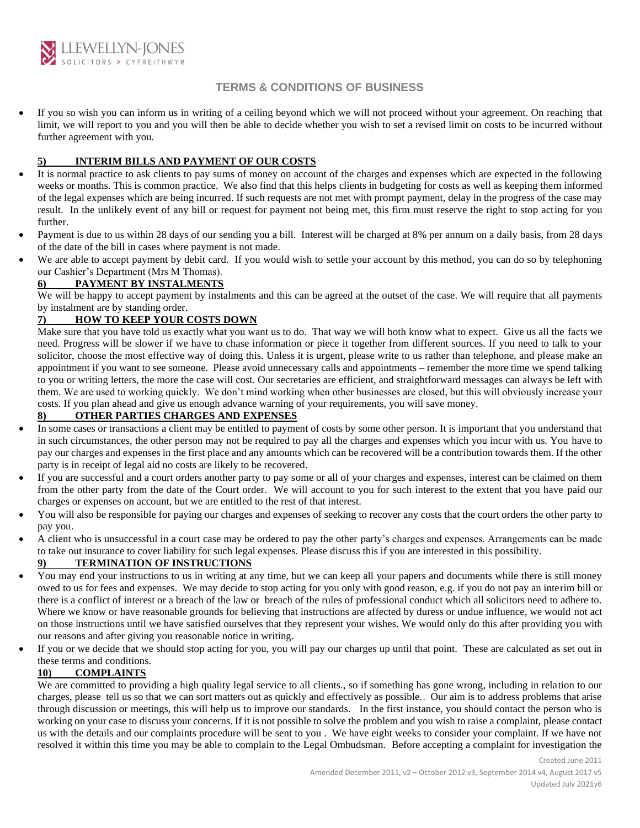

• If you so wish you can inform us in writing of a ceiling beyond which we will not proceed without your agreement. On reaching that limit, we will report to you and you will then be able to decide whether you wish to set a revised limit on costs to be incurred without further agreement with you.

### **5) INTERIM BILLS AND PAYMENT OF OUR COSTS**

- It is normal practice to ask clients to pay sums of money on account of the charges and expenses which are expected in the following weeks or months. This is common practice. We also find that this helps clients in budgeting for costs as well as keeping them informed of the legal expenses which are being incurred. If such requests are not met with prompt payment, delay in the progress of the case may result. In the unlikely event of any bill or request for payment not being met, this firm must reserve the right to stop acting for you further.
- Payment is due to us within 28 days of our sending you a bill. Interest will be charged at 8% per annum on a daily basis, from 28 days of the date of the bill in cases where payment is not made.
- We are able to accept payment by debit card. If you would wish to settle your account by this method, you can do so by telephoning our Cashier's Department (Mrs M Thomas).

## **6) PAYMENT BY INSTALMENTS**

We will be happy to accept payment by instalments and this can be agreed at the outset of the case. We will require that all payments by instalment are by standing order.

### **7) HOW TO KEEP YOUR COSTS DOWN**

Make sure that you have told us exactly what you want us to do. That way we will both know what to expect. Give us all the facts we need. Progress will be slower if we have to chase information or piece it together from different sources. If you need to talk to your solicitor, choose the most effective way of doing this. Unless it is urgent, please write to us rather than telephone, and please make an appointment if you want to see someone. Please avoid unnecessary calls and appointments – remember the more time we spend talking to you or writing letters, the more the case will cost. Our secretaries are efficient, and straightforward messages can always be left with them. We are used to working quickly. We don't mind working when other businesses are closed, but this will obviously increase your costs. If you plan ahead and give us enough advance warning of your requirements, you will save money.

### **8) OTHER PARTIES CHARGES AND EXPENSES**

- In some cases or transactions a client may be entitled to payment of costs by some other person. It is important that you understand that in such circumstances, the other person may not be required to pay all the charges and expenses which you incur with us. You have to pay our charges and expenses in the first place and any amounts which can be recovered will be a contribution towards them. If the other party is in receipt of legal aid no costs are likely to be recovered.
- If you are successful and a court orders another party to pay some or all of your charges and expenses, interest can be claimed on them from the other party from the date of the Court order. We will account to you for such interest to the extent that you have paid our charges or expenses on account, but we are entitled to the rest of that interest.
- You will also be responsible for paying our charges and expenses of seeking to recover any costs that the court orders the other party to pay you.
- A client who is unsuccessful in a court case may be ordered to pay the other party's charges and expenses. Arrangements can be made to take out insurance to cover liability for such legal expenses. Please discuss this if you are interested in this possibility.

## **9) TERMINATION OF INSTRUCTIONS**

- You may end your instructions to us in writing at any time, but we can keep all your papers and documents while there is still money owed to us for fees and expenses. We may decide to stop acting for you only with good reason, e.g. if you do not pay an interim bill or there is a conflict of interest or a breach of the law or breach of the rules of professional conduct which all solicitors need to adhere to. Where we know or have reasonable grounds for believing that instructions are affected by duress or undue influence, we would not act on those instructions until we have satisfied ourselves that they represent your wishes. We would only do this after providing you with our reasons and after giving you reasonable notice in writing.
- If you or we decide that we should stop acting for you, you will pay our charges up until that point. These are calculated as set out in these terms and conditions.

## **10) COMPLAINTS**

We are committed to providing a high quality legal service to all clients., so if something has gone wrong, including in relation to our charges, please tell us so that we can sort matters out as quickly and effectively as possible.. Our aim is to address problems that arise through discussion or meetings, this will help us to improve our standards. In the first instance, you should contact the person who is working on your case to discuss your concerns. If it is not possible to solve the problem and you wish to raise a complaint, please contact us with the details and our complaints procedure will be sent to you . We have eight weeks to consider your complaint. If we have not resolved it within this time you may be able to complain to the Legal Ombudsman. Before accepting a complaint for investigation the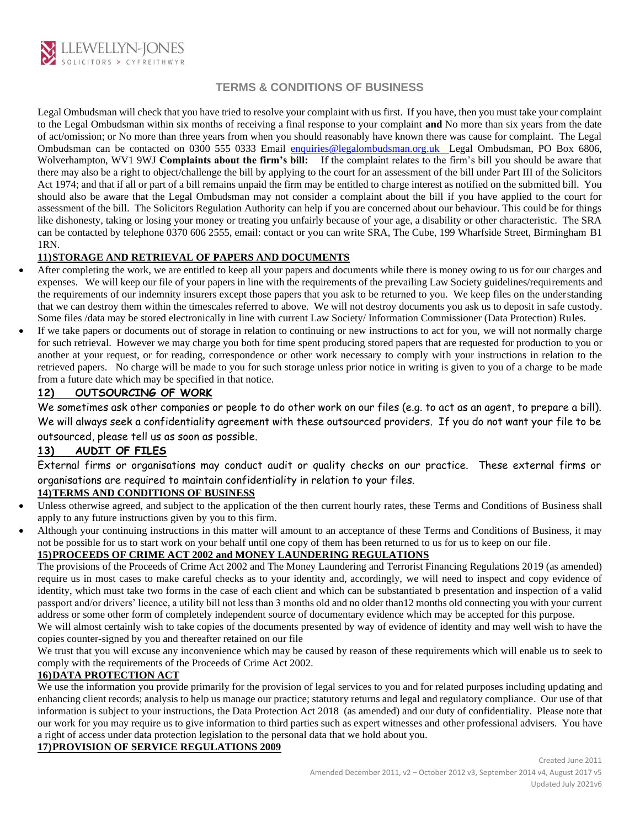

Legal Ombudsman will check that you have tried to resolve your complaint with us first. If you have, then you must take your complaint to the Legal Ombudsman within six months of receiving a final response to your complaint **and** No more than six years from the date of act/omission; or No more than three years from when you should reasonably have known there was cause for complaint. The Legal Ombudsman can be contacted on 0300 555 0333 Email [enquiries@legalombudsman.org.uk](mailto:enquiries@legalombudsman.org.uk) Legal Ombudsman, PO Box 6806, Wolverhampton, WV1 9WJ **Complaints about the firm's bill:** If the complaint relates to the firm's bill you should be aware that there may also be a right to object/challenge the bill by applying to the court for an assessment of the bill under Part III of the Solicitors Act 1974; and that if all or part of a bill remains unpaid the firm may be entitled to charge interest as notified on the submitted bill. You should also be aware that the Legal Ombudsman may not consider a complaint about the bill if you have applied to the court for assessment of the bill. The Solicitors Regulation Authority can help if you are concerned about our behaviour. This could be for things like dishonesty, taking or losing your money or treating you unfairly because of your age, a disability or other characteristic. The SRA can be contacted by telephone 0370 606 2555, email: contact or you can write SRA, The Cube, 199 Wharfside Street, Birmingham B1 1RN.

### **11)STORAGE AND RETRIEVAL OF PAPERS AND DOCUMENTS**

- After completing the work, we are entitled to keep all your papers and documents while there is money owing to us for our charges and expenses. We will keep our file of your papers in line with the requirements of the prevailing Law Society guidelines/requirements and the requirements of our indemnity insurers except those papers that you ask to be returned to you. We keep files on the understanding that we can destroy them within the timescales referred to above. We will not destroy documents you ask us to deposit in safe custody. Some files /data may be stored electronically in line with current Law Society/ Information Commissioner (Data Protection) Rules.
- If we take papers or documents out of storage in relation to continuing or new instructions to act for you, we will not normally charge for such retrieval. However we may charge you both for time spent producing stored papers that are requested for production to you or another at your request, or for reading, correspondence or other work necessary to comply with your instructions in relation to the retrieved papers. No charge will be made to you for such storage unless prior notice in writing is given to you of a charge to be made from a future date which may be specified in that notice.

### **12) OUTSOURCING OF WORK**

We sometimes ask other companies or people to do other work on our files (e.g. to act as an agent, to prepare a bill). We will always seek a confidentiality agreement with these outsourced providers. If you do not want your file to be outsourced, please tell us as soon as possible.

## **13) AUDIT OF FILES**

External firms or organisations may conduct audit or quality checks on our practice. These external firms or organisations are required to maintain confidentiality in relation to your files.

## **14)TERMS AND CONDITIONS OF BUSINESS**

- Unless otherwise agreed, and subject to the application of the then current hourly rates, these Terms and Conditions of Business shall apply to any future instructions given by you to this firm.
- Although your continuing instructions in this matter will amount to an acceptance of these Terms and Conditions of Business, it may not be possible for us to start work on your behalf until one copy of them has been returned to us for us to keep on our file.

## **15)PROCEEDS OF CRIME ACT 2002 and MONEY LAUNDERING REGULATIONS**

The provisions of the Proceeds of Crime Act 2002 and The Money Laundering and Terrorist Financing Regulations 2019 (as amended) require us in most cases to make careful checks as to your identity and, accordingly, we will need to inspect and copy evidence of identity, which must take two forms in the case of each client and which can be substantiated b presentation and inspection of a valid passport and/or drivers' licence, a utility bill not less than 3 months old and no older than12 months old connecting you with your current address or some other form of completely independent source of documentary evidence which may be accepted for this purpose.

We will almost certainly wish to take copies of the documents presented by way of evidence of identity and may well wish to have the copies counter-signed by you and thereafter retained on our file

We trust that you will excuse any inconvenience which may be caused by reason of these requirements which will enable us to seek to comply with the requirements of the Proceeds of Crime Act 2002.

### **16)DATA PROTECTION ACT**

We use the information you provide primarily for the provision of legal services to you and for related purposes including updating and enhancing client records; analysis to help us manage our practice; statutory returns and legal and regulatory compliance. Our use of that information is subject to your instructions, the Data Protection Act 2018 (as amended) and our duty of confidentiality. Please note that our work for you may require us to give information to third parties such as expert witnesses and other professional advisers. You have a right of access under data protection legislation to the personal data that we hold about you.

### **17)PROVISION OF SERVICE REGULATIONS 2009**